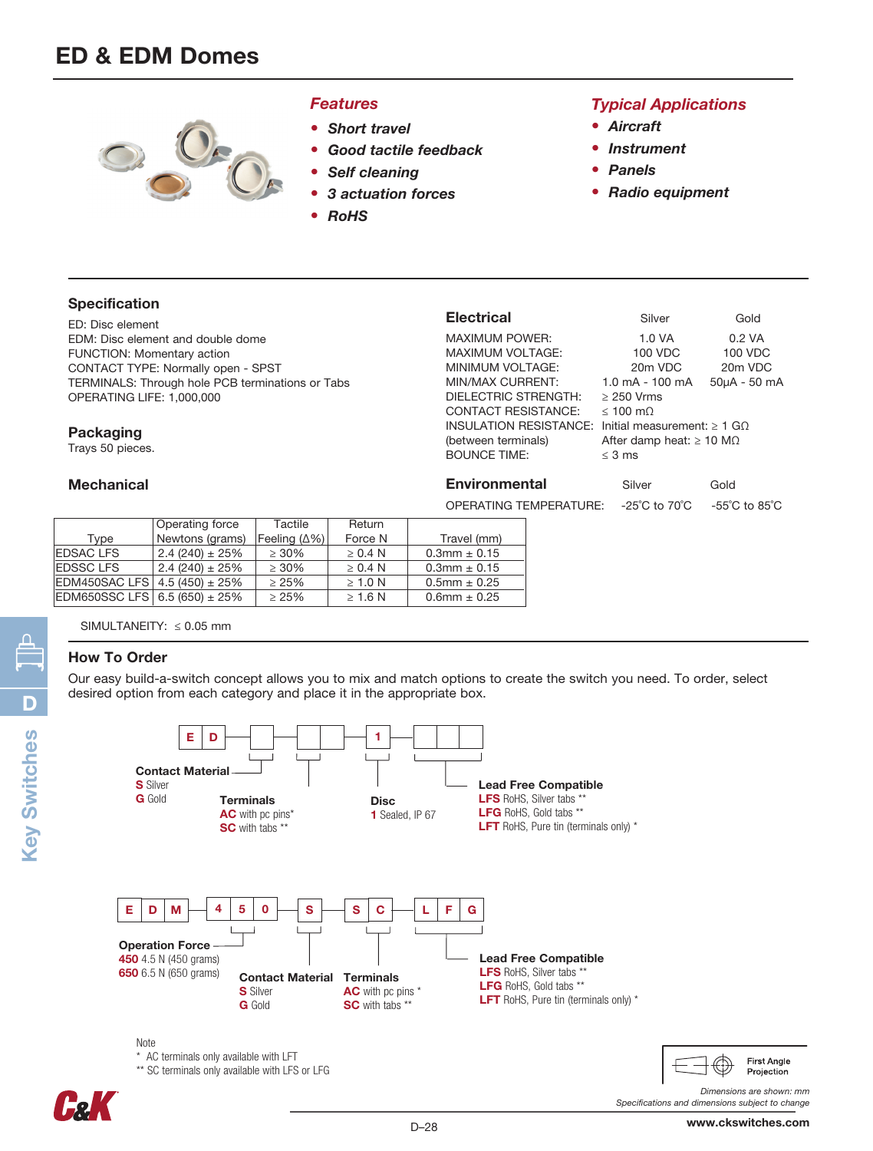

#### *Features*

- *Short travel*
- *Good tactile feedback*
- *Self cleaning*
- *3 actuation forces*
- *RoHS*

## *Typical Applications*

- *Aircraft*
- *Instrument*
- *Panels*
- *Radio equipment*

## Specification

ED: Disc element EDM: Disc element and double dome FUNCTION: Momentary action CONTACT TYPE: Normally open - SPST TERMINALS: Through hole PCB terminations or Tabs OPERATING LIFE: 1,000,000

#### Packaging

Trays 50 pieces.

### **Mechanical**

| <b>Electrical</b>          | Silver                                | Gold                               |  |  |
|----------------------------|---------------------------------------|------------------------------------|--|--|
| <b>MAXIMUM POWER:</b>      | 1.0 VA                                | $0.2$ VA                           |  |  |
| <b>MAXIMUM VOLTAGE:</b>    | 100 VDC                               | 100 VDC                            |  |  |
| MINIMUM VOLTAGE:           | 20 <sub>m</sub> VDC                   | 20 <sub>m</sub> VDC                |  |  |
| MIN/MAX CURRENT:           | $1.0 \text{ mA} - 100 \text{ mA}$     | 50µA - 50 mA                       |  |  |
| DIELECTRIC STRENGTH:       | $\geq$ 250 Vrms                       |                                    |  |  |
| <b>CONTACT RESISTANCE:</b> | $< 100 \text{ m}$                     |                                    |  |  |
| INSULATION RESISTANCE:     | Initial measurement: $\geq 1$ GO      |                                    |  |  |
| (between terminals)        | After damp heat: $\geq 10$ M $\Omega$ |                                    |  |  |
| <b>BOUNCE TIME:</b>        | $<$ 3 ms                              |                                    |  |  |
|                            |                                       |                                    |  |  |
| <b>Environmental</b>       | Silver                                | Gold                               |  |  |
| OPERATING TEMPERATURE:     | $-25^{\circ}$ C to $70^{\circ}$ C     | $-55^{\circ}$ C to 85 $^{\circ}$ C |  |  |

|                                   | <b>Operating force</b> | Tactile              | Return       |                     |  |  |
|-----------------------------------|------------------------|----------------------|--------------|---------------------|--|--|
| Tvpe                              | Newtons (grams)        | Feeling $(\Delta\%)$ | Force N      | Travel (mm)         |  |  |
| <b>EDSAC LFS</b>                  | $2.4(240) \pm 25\%$    | $\geq 30\%$          | $\geq 0.4$ N | $0.3$ mm $\pm 0.15$ |  |  |
| <b>EDSSC LFS</b>                  | $2.4(240) \pm 25\%$    | $>30\%$              | $\geq 0.4$ N | $0.3$ mm $\pm 0.15$ |  |  |
| EDM450SAC LFS 4.5 (450) ± 25%     |                        | > 25%                | $\geq 1.0$ N | $0.5$ mm $\pm$ 0.25 |  |  |
| EDM650SSC LFS $6.5(650) \pm 25\%$ |                        | $\geq 25\%$          | $\geq 1.6$ N | $0.6$ mm $\pm 0.25$ |  |  |
|                                   |                        |                      |              |                     |  |  |

SIMULTANEITY: ≤ 0.05 mm

## How To Order

Our easy build-a-switch concept allows you to mix and match options to create the switch you need. To order, select desired option from each category and place it in the appropriate box.



Key Switches **Key Switches** 

First Angle Projection

*Specifications and dimensions subject to change*